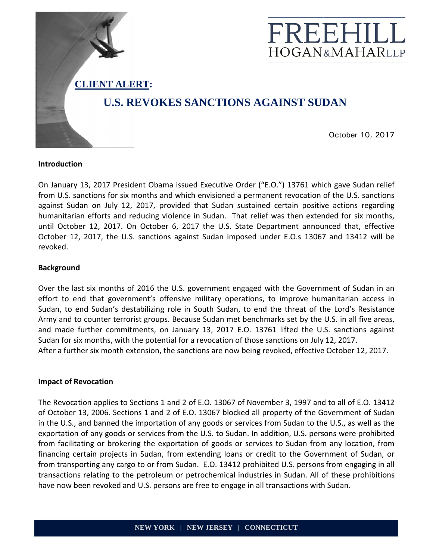

### **Introduction**

On January 13, 2017 President Obama issued Executive Order ("E.O.") 13761 which gave Sudan relief from U.S. sanctions for six months and which envisioned a permanent revocation of the U.S. sanctions against Sudan on July 12, 2017, provided that Sudan sustained certain positive actions regarding humanitarian efforts and reducing violence in Sudan. That relief was then extended for six months, until October 12, 2017. On October 6, 2017 the U.S. State Department announced that, effective October 12, 2017, the U.S. sanctions against Sudan imposed under E.O.s 13067 and 13412 will be revoked.

# **Background**

Over the last six months of 2016 the U.S. government engaged with the Government of Sudan in an effort to end that government's offensive military operations, to improve humanitarian access in<br>Sudan, to end Sudan's destabilizing role in South Sudan, to end the threat of the Lord's Resistance<br>Army and to counter terro Sudan, to end Sudan's destabilizing role in South Sudan, to end the threat of the Lord's Resista Resistance Army and to counter terrorist groups. Because Sudan met benchmarks set by the U.S. in all five areas, and made further commitments, on January 13, 2017 E.O. 13761 lifted the U.S. sanctions against Sudan for six months, with the potential for a revocation of those sanctions on July 12, 2017. After a further six month extension, the sanctions are now being revoked, effective October 12, 2017.

### **Impact of Revocation**

The Revocation applies to Sections 1 and 2 of E.O. 13067 of November 3, 1997 and to all of E.O. 13412 of October 13, 2006. Sections 1 and 2 of E.O. 13067 blocked all property of the Government of Sudan in the U.S., and banned the importation of any goods or services from Sudan to the U.S., exportation of any goods or services from the U.S. to Sudan. In addition, U.S. persons were prohibited from facilitating or brokering the exportation of goods or services to Sudan from any location, from exportation of any goods or services from the U.S. to Sudan. In addition, U.S. persons were prohibited<br>from facilitating or brokering the exportation of goods or services to Sudan from any location, from<br>financing certain from transporting any cargo to or from Sudan. E.O. 13412 prohibited U.S. persons from engaging in all transactions relating to the petroleum or petrochemical industries in Sudan. All of these prohibitions have now been revoked and U.S. persons are free to engage in all transactions with Sudan. October 10, 2017<br>
sissued Executive Order ("E.O.") 13761 which gave Sudan relief<br>
which envisioned a permanent revocation of the U.S. sanctions<br>
ence in Sudan. Sutate left post then positive actions regarding<br>
pose to Suda 17 E.O. 13761 lifted the U.S. sanctions against<br>on of those sanctions on July 12, 2017.<br>now being revoked, effective October 12, 2017.<br>067 of November 3, 1997 and to all of E.O. 13412<br>00cked all property of the Government